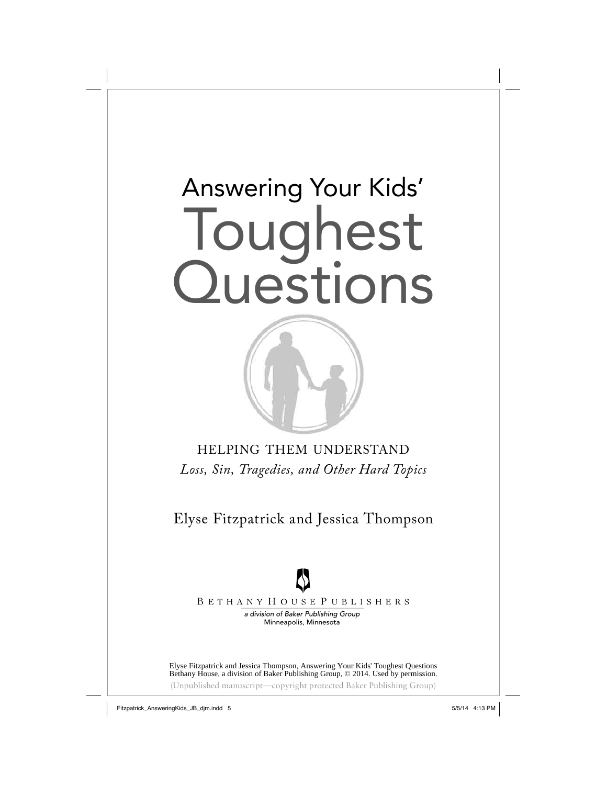# Answering Your Kids' Toughest Questions

# HELPING THEM UNDERSTAND *Loss, Sin, Tragedies, and Other Hard Topics*

# Elyse Fitzpatrick and Jessica Thompson



Elyse Fitzpatrick and Jessica Thompson, Answering Your Kids' Toughest Questions Bethany House, a division of Baker Publishing Group, © 2014. Used by permission.

(Unpublished manuscript—copyright protected Baker Publishing Group)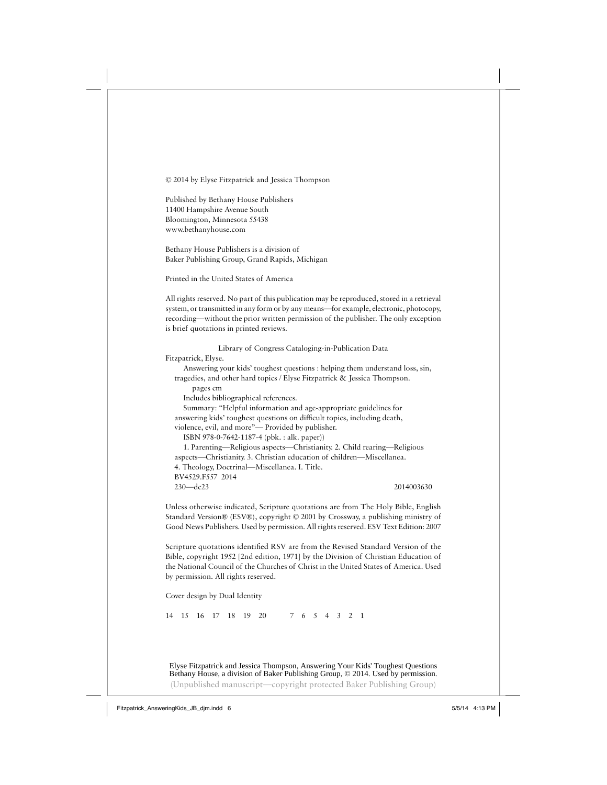© 2014 by Elyse Fitzpatrick and Jessica Thompson

Published by Bethany House Publishers 11400 Hampshire Avenue South Bloomington, Minnesota 55438 www.bethanyhouse.com

Bethany House Publishers is a division of Baker Publishing Group, Grand Rapids, Michigan

Printed in the United States of America

All rights reserved. No part of this publication may be reproduced, stored in a retrieval system, or transmitted in any form or by any means—for example, electronic, photocopy, recording—without the prior written permission of the publisher. The only exception is brief quotations in printed reviews.

Library of Congress Cataloging-in-Publication Data

Fitzpatrick, Elyse.

Answering your kids' toughest questions : helping them understand loss, sin, tragedies, and other hard topics / Elyse Fitzpatrick & Jessica Thompson.

pages cm

Includes bibliographical references.

Summary: "Helpful information and age-appropriate guidelines for answering kids' toughest questions on difficult topics, including death, violence, evil, and more"— Provided by publisher.

```
ISBN 978-0-7642-1187-4 (pbk. : alk. paper))
```
1. Parenting—Religious aspects—Christianity. 2. Child rearing—Religious aspects—Christianity. 3. Christian education of children—Miscellanea. 4. Theology, Doctrinal—Miscellanea. I. Title. BV4529.F557 2014

230—dc23 2014003630

Unless otherwise indicated, Scripture quotations are from The Holy Bible, English Standard Version® (ESV®), copyright © 2001 by Crossway, a publishing ministry of Good News Publishers. Used by permission. All rights reserved. ESV Text Edition: 2007

Scripture quotations identified RSV are from the Revised Standard Version of the Bible, copyright 1952 [2nd edition, 1971] by the Division of Christian Education of the National Council of the Churches of Christ in the United States of America. Used by permission. All rights reserved.

Cover design by Dual Identity

14 15 16 17 18 19 20 7 6 5 4 3 2 1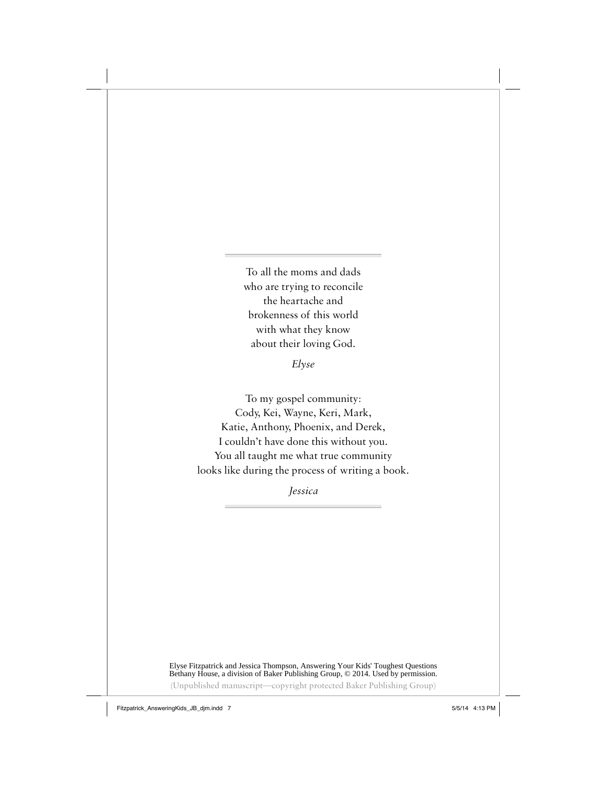To all the moms and dads who are trying to reconcile the heartache and brokenness of this world with what they know about their loving God.

*Elyse*

To my gospel community: Cody, Kei, Wayne, Keri, Mark, Katie, Anthony, Phoenix, and Derek, I couldn't have done this without you. You all taught me what true community looks like during the process of writing a book.

*Jessica*

Elyse Fitzpatrick and Jessica Thompson, Answering Your Kids' Toughest Questions Bethany House, a division of Baker Publishing Group, © 2014. Used by permission.

(Unpublished manuscript—copyright protected Baker Publishing Group)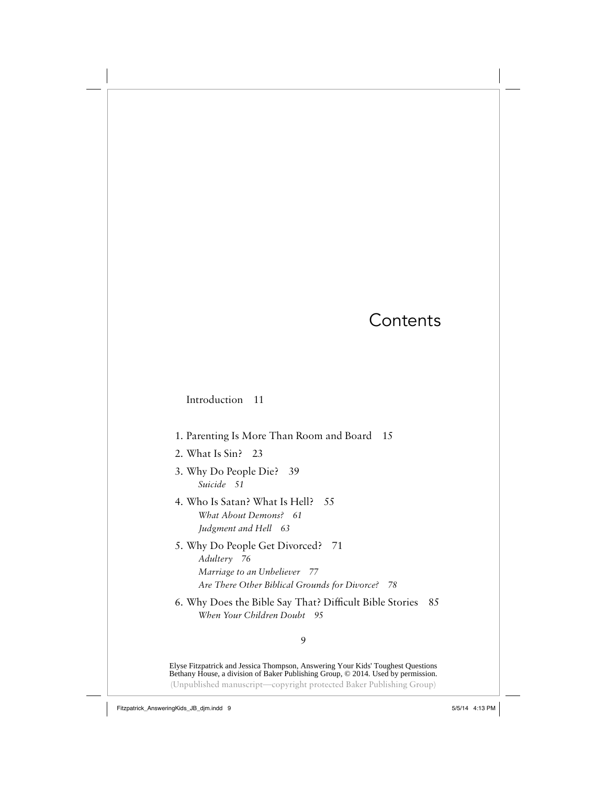# **Contents**

Introduction 11

- 1. Parenting Is More Than Room and Board 15
- 2. What Is Sin? 23
- 3. Why Do People Die? 39  *Suicide 51*
- 4. Who Is Satan? What Is Hell? 55  *What About Demons? 61 Judgment and Hell 63*
- 5. Why Do People Get Divorced? 71  *Adultery 76 Marriage to an Unbeliever 77 Are There Other Biblical Grounds for Divorce? 78*
- 6. Why Does the Bible Say That? Difficult Bible Stories 85  *When Your Children Doubt 95*

#### 9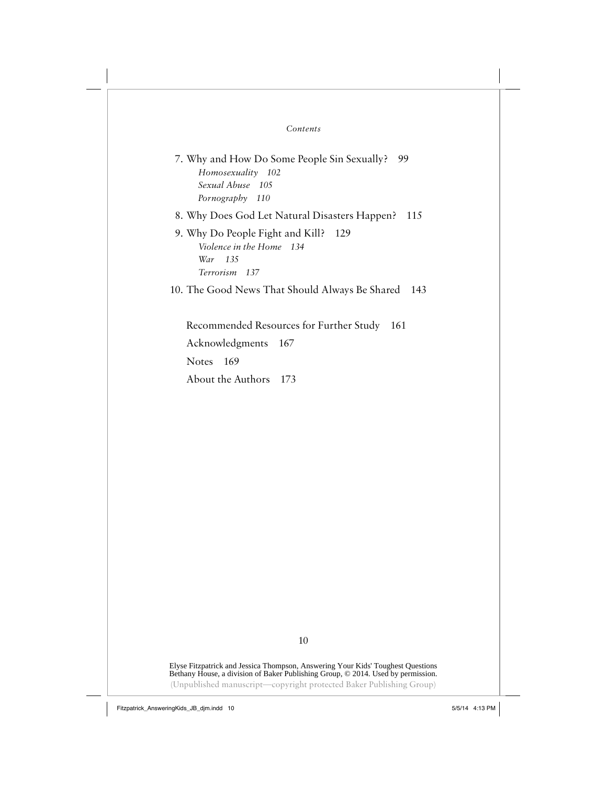#### *Contents*

- 7. Why and How Do Some People Sin Sexually? 99  *Homosexuality 102 Sexual Abuse 105 Pornography 110*
- 8. Why Does God Let Natural Disasters Happen? 115
- 9. Why Do People Fight and Kill? 129  *Violence in the Home 134 War 135 Terrorism 137*

10. The Good News That Should Always Be Shared 143

 Recommended Resources for Further Study 161 Acknowledgments 167 Notes 169 About the Authors 173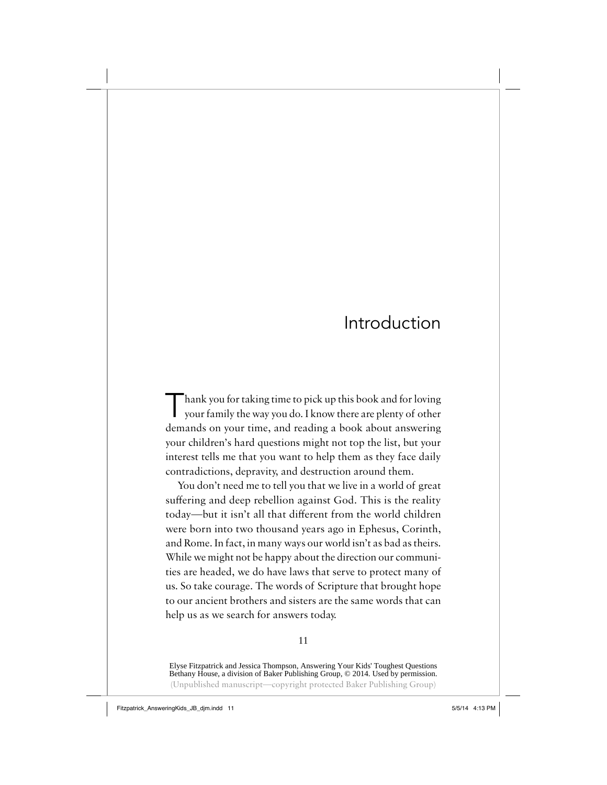# Introduction

 $\overline{T}$ hank you for taking time to pick up this book and for loving your family the way you do. I know there are plenty of other demands on your time, and reading a book about answering your children's hard questions might not top the list, but your interest tells me that you want to help them as they face daily contradictions, depravity, and destruction around them.

You don't need me to tell you that we live in a world of great suffering and deep rebellion against God. This is the reality today—but it isn't all that different from the world children were born into two thousand years ago in Ephesus, Corinth, and Rome. In fact, in many ways our world isn't as bad as theirs. While we might not be happy about the direction our communities are headed, we do have laws that serve to protect many of us. So take courage. The words of Scripture that brought hope to our ancient brothers and sisters are the same words that can help us as we search for answers today.

#### 11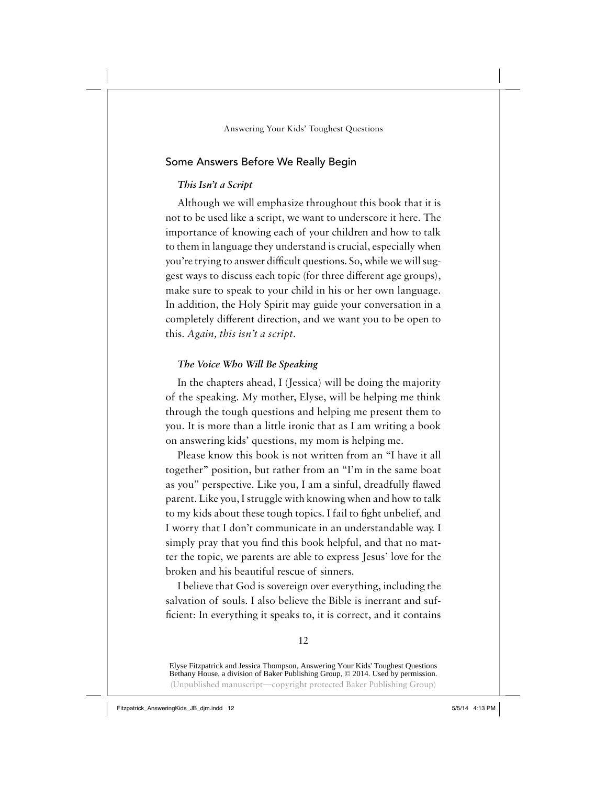## Some Answers Before We Really Begin

#### **This Isn't a Script**

Although we will emphasize throughout this book that it is not to be used like a script, we want to underscore it here. The importance of knowing each of your children and how to talk to them in language they understand is crucial, especially when you're trying to answer difficult questions. So, while we will suggest ways to discuss each topic (for three different age groups), make sure to speak to your child in his or her own language. In addition, the Holy Spirit may guide your conversation in a completely different direction, and we want you to be open to this. *Again, this isn't a script*.

#### **The Voice Who Will Be Speaking**

In the chapters ahead, I (Jessica) will be doing the majority of the speaking. My mother, Elyse, will be helping me think through the tough questions and helping me present them to you. It is more than a little ironic that as I am writing a book on answering kids' questions, my mom is helping me.

Please know this book is not written from an "I have it all together" position, but rather from an "I'm in the same boat as you" perspective. Like you, I am a sinful, dreadfully flawed parent. Like you, I struggle with knowing when and how to talk to my kids about these tough topics. I fail to fight unbelief, and I worry that I don't communicate in an understandable way. I simply pray that you find this book helpful, and that no matter the topic, we parents are able to express Jesus' love for the broken and his beautiful rescue of sinners.

I believe that God is sovereign over everything, including the salvation of souls. I also believe the Bible is inerrant and sufficient: In everything it speaks to, it is correct, and it contains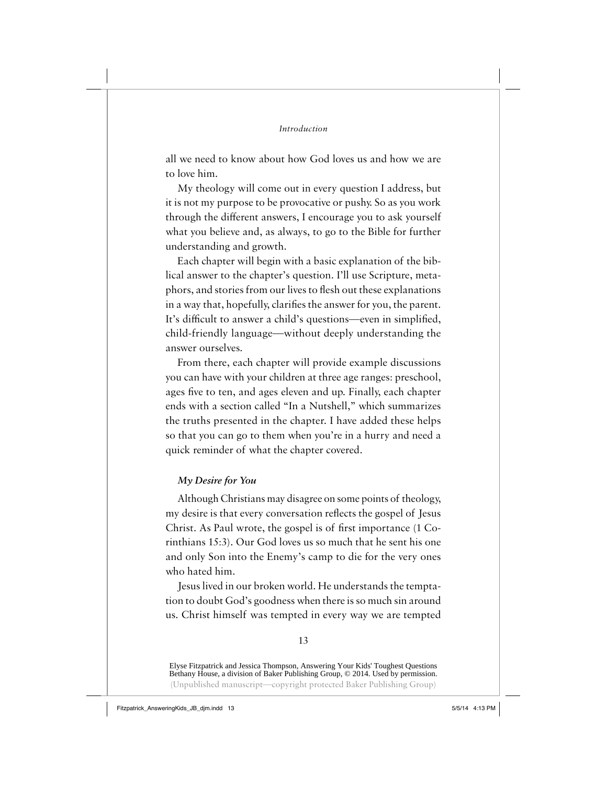all we need to know about how God loves us and how we are to love him.

My theology will come out in every question I address, but it is not my purpose to be provocative or pushy. So as you work through the different answers, I encourage you to ask yourself what you believe and, as always, to go to the Bible for further understanding and growth.

Each chapter will begin with a basic explanation of the biblical answer to the chapter's question. I'll use Scripture, metaphors, and stories from our lives to flesh out these explanations in a way that, hopefully, clarifies the answer for you, the parent. It's difficult to answer a child's questions—even in simplified, child-friendly language—without deeply understanding the answer ourselves.

From there, each chapter will provide example discussions you can have with your children at three age ranges: preschool, ages five to ten, and ages eleven and up. Finally, each chapter ends with a section called "In a Nutshell," which summarizes the truths presented in the chapter. I have added these helps so that you can go to them when you're in a hurry and need a quick reminder of what the chapter covered.

#### **My Desire for You**

Although Christians may disagree on some points of theology, my desire is that every conversation reflects the gospel of Jesus Christ. As Paul wrote, the gospel is of first importance (1 Corinthians 15:3). Our God loves us so much that he sent his one and only Son into the Enemy's camp to die for the very ones who hated him.

Jesus lived in our broken world. He understands the temptation to doubt God's goodness when there is so much sin around us. Christ himself was tempted in every way we are tempted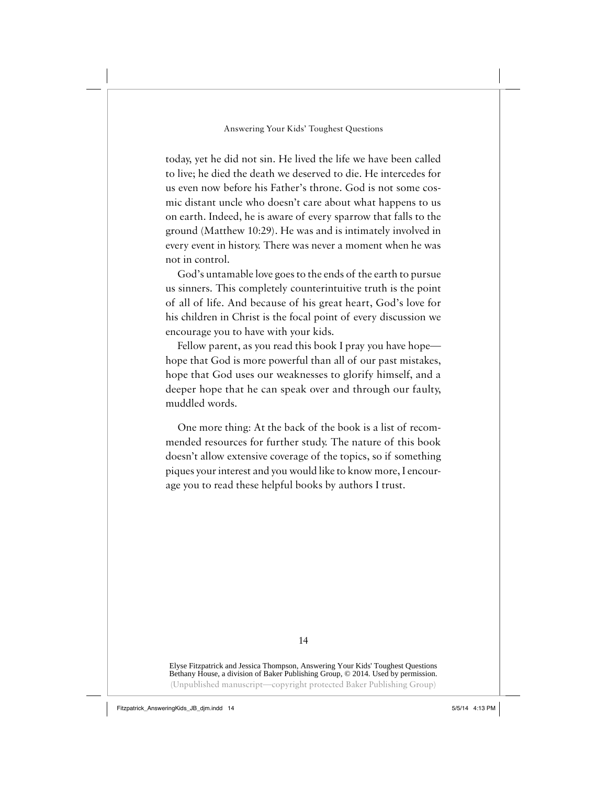today, yet he did not sin. He lived the life we have been called to live; he died the death we deserved to die. He intercedes for us even now before his Father's throne. God is not some cosmic distant uncle who doesn't care about what happens to us on earth. Indeed, he is aware of every sparrow that falls to the ground (Matthew 10:29). He was and is intimately involved in every event in history. There was never a moment when he was not in control.

God's untamable love goes to the ends of the earth to pursue us sinners. This completely counterintuitive truth is the point of all of life. And because of his great heart, God's love for his children in Christ is the focal point of every discussion we encourage you to have with your kids.

Fellow parent, as you read this book I pray you have hope hope that God is more powerful than all of our past mistakes, hope that God uses our weaknesses to glorify himself, and a deeper hope that he can speak over and through our faulty, muddled words.

One more thing: At the back of the book is a list of recommended resources for further study. The nature of this book doesn't allow extensive coverage of the topics, so if something piques your interest and you would like to know more, I encourage you to read these helpful books by authors I trust.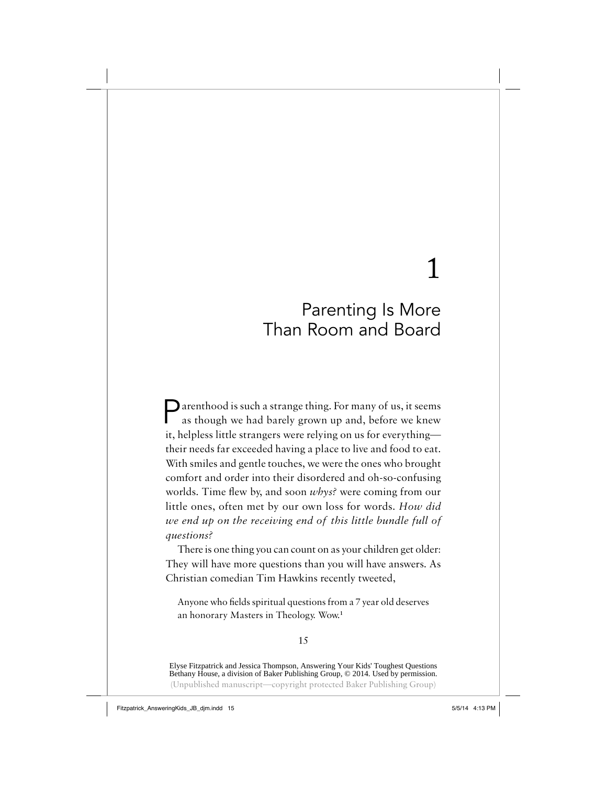1

# Parenting Is More Than Room and Board

P arenthood is such a strange thing. For many of us, it seems as though we had barely grown up and, before we knew it, helpless little strangers were relying on us for everything their needs far exceeded having a place to live and food to eat. With smiles and gentle touches, we were the ones who brought comfort and order into their disordered and oh-so-confusing worlds. Time flew by, and soon *whys?* were coming from our little ones, often met by our own loss for words. *How did we end up on the receiving end of this little bundle full of questions?*

There is one thing you can count on as your children get older: They will have more questions than you will have answers. As Christian comedian Tim Hawkins recently tweeted,

Anyone who fields spiritual questions from a 7 year old deserves an honorary Masters in Theology. Wow.**<sup>1</sup>**

### 15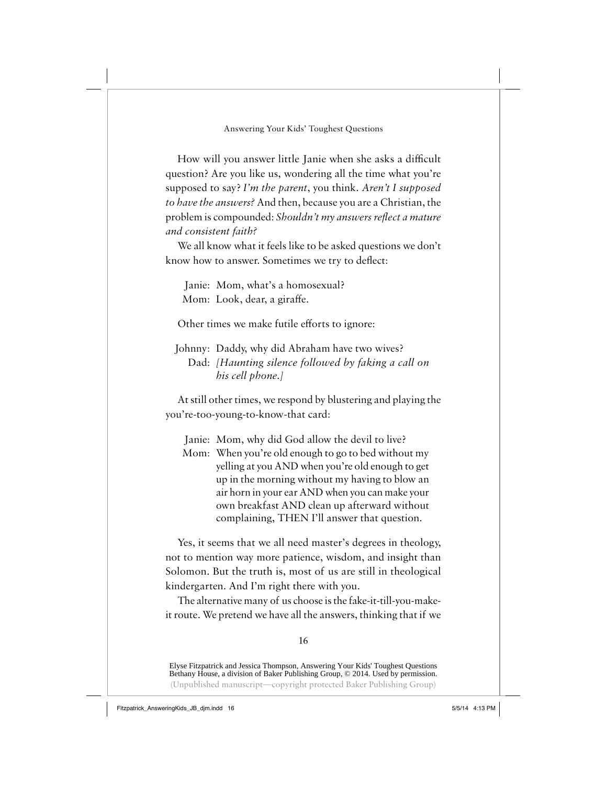How will you answer little Janie when she asks a difficult question? Are you like us, wondering all the time what you're supposed to say? *I'm the parent*, you think. *Aren't I supposed to have the answers?* And then, because you are a Christian, the problem is compounded: *Shouldn't my answers reflect a mature and consistent faith?*

We all know what it feels like to be asked questions we don't know how to answer. Sometimes we try to deflect:

 Janie: Mom, what's a homosexual? Mom: Look, dear, a giraffe.

Other times we make futile efforts to ignore:

 Johnny: Daddy, why did Abraham have two wives? Dad: *[Haunting silence followed by faking a call on his cell phone.]*

At still other times, we respond by blustering and playing the you're-too-young-to-know-that card:

 Janie: Mom, why did God allow the devil to live? Mom: When you're old enough to go to bed without my yelling at you AND when you're old enough to get up in the morning without my having to blow an air horn in your ear AND when you can make your own breakfast AND clean up afterward without complaining, THEN I'll answer that question.

Yes, it seems that we all need master's degrees in theology, not to mention way more patience, wisdom, and insight than Solomon. But the truth is, most of us are still in theological kindergarten. And I'm right there with you.

The alternative many of us choose is the fake-it-till-you-makeit route. We pretend we have all the answers, thinking that if we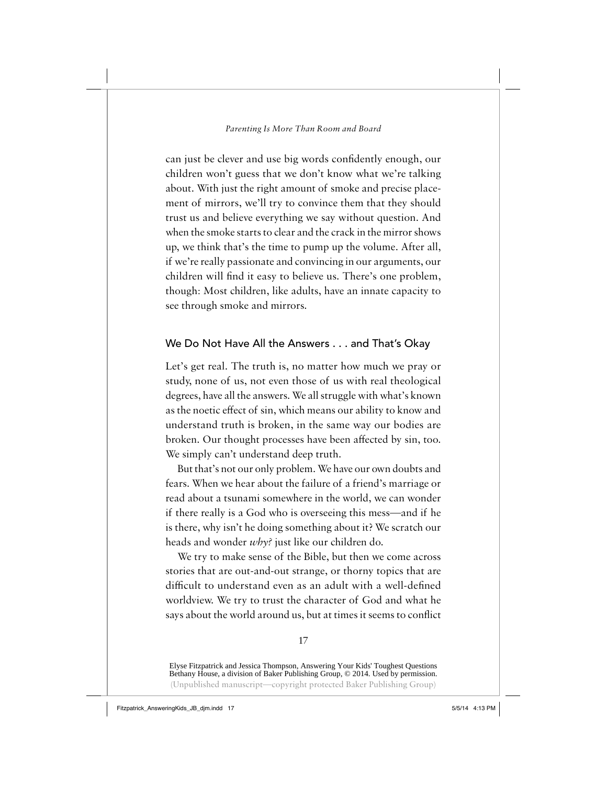can just be clever and use big words confidently enough, our children won't guess that we don't know what we're talking about. With just the right amount of smoke and precise placement of mirrors, we'll try to convince them that they should trust us and believe everything we say without question. And when the smoke starts to clear and the crack in the mirror shows up, we think that's the time to pump up the volume. After all, if we're really passionate and convincing in our arguments, our children will find it easy to believe us. There's one problem, though: Most children, like adults, have an innate capacity to see through smoke and mirrors.

# We Do Not Have All the Answers . . . and That's Okay

Let's get real. The truth is, no matter how much we pray or study, none of us, not even those of us with real theological degrees, have all the answers. We all struggle with what's known as the noetic effect of sin, which means our ability to know and understand truth is broken, in the same way our bodies are broken. Our thought processes have been affected by sin, too. We simply can't understand deep truth.

But that's not our only problem. We have our own doubts and fears. When we hear about the failure of a friend's marriage or read about a tsunami somewhere in the world, we can wonder if there really is a God who is overseeing this mess—and if he is there, why isn't he doing something about it? We scratch our heads and wonder *why?* just like our children do.

We try to make sense of the Bible, but then we come across stories that are out-and-out strange, or thorny topics that are difficult to understand even as an adult with a well-defined worldview. We try to trust the character of God and what he says about the world around us, but at times it seems to conflict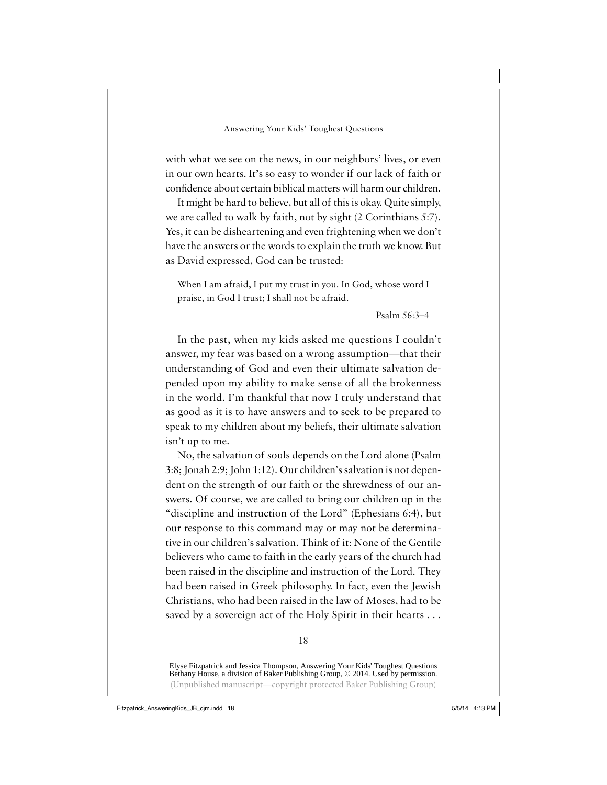with what we see on the news, in our neighbors' lives, or even in our own hearts. It's so easy to wonder if our lack of faith or confidence about certain biblical matters will harm our children.

It might be hard to believe, but all of this is okay. Quite simply, we are called to walk by faith, not by sight (2 Corinthians 5:7). Yes, it can be disheartening and even frightening when we don't have the answers or the words to explain the truth we know. But as David expressed, God can be trusted:

When I am afraid, I put my trust in you. In God, whose word I praise, in God I trust; I shall not be afraid.

Psalm 56:3–4

In the past, when my kids asked me questions I couldn't answer, my fear was based on a wrong assumption—that their understanding of God and even their ultimate salvation depended upon my ability to make sense of all the brokenness in the world. I'm thankful that now I truly understand that as good as it is to have answers and to seek to be prepared to speak to my children about my beliefs, their ultimate salvation isn't up to me.

No, the salvation of souls depends on the Lord alone (Psalm 3:8; Jonah 2:9; John 1:12). Our children's salvation is not dependent on the strength of our faith or the shrewdness of our answers. Of course, we are called to bring our children up in the "discipline and instruction of the Lord" (Ephesians 6:4), but our response to this command may or may not be determinative in our children's salvation. Think of it: None of the Gentile believers who came to faith in the early years of the church had been raised in the discipline and instruction of the Lord. They had been raised in Greek philosophy. In fact, even the Jewish Christians, who had been raised in the law of Moses, had to be saved by a sovereign act of the Holy Spirit in their hearts . . .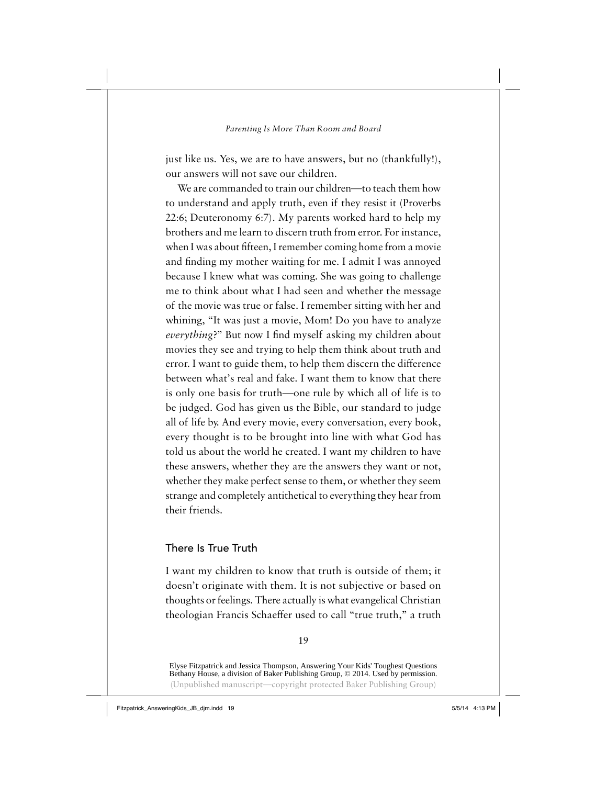just like us. Yes, we are to have answers, but no (thankfully!), our answers will not save our children.

We are commanded to train our children—to teach them how to understand and apply truth, even if they resist it (Proverbs 22:6; Deuteronomy 6:7). My parents worked hard to help my brothers and me learn to discern truth from error. For instance, when I was about fifteen, I remember coming home from a movie and finding my mother waiting for me. I admit I was annoyed because I knew what was coming. She was going to challenge me to think about what I had seen and whether the message of the movie was true or false. I remember sitting with her and whining, "It was just a movie, Mom! Do you have to analyze *everything*?" But now I find myself asking my children about movies they see and trying to help them think about truth and error. I want to guide them, to help them discern the difference between what's real and fake. I want them to know that there is only one basis for truth—one rule by which all of life is to be judged. God has given us the Bible, our standard to judge all of life by. And every movie, every conversation, every book, every thought is to be brought into line with what God has told us about the world he created. I want my children to have these answers, whether they are the answers they want or not, whether they make perfect sense to them, or whether they seem strange and completely antithetical to everything they hear from their friends.

## There Is True Truth

I want my children to know that truth is outside of them; it doesn't originate with them. It is not subjective or based on thoughts or feelings. There actually is what evangelical Christian theologian Francis Schaeffer used to call "true truth," a truth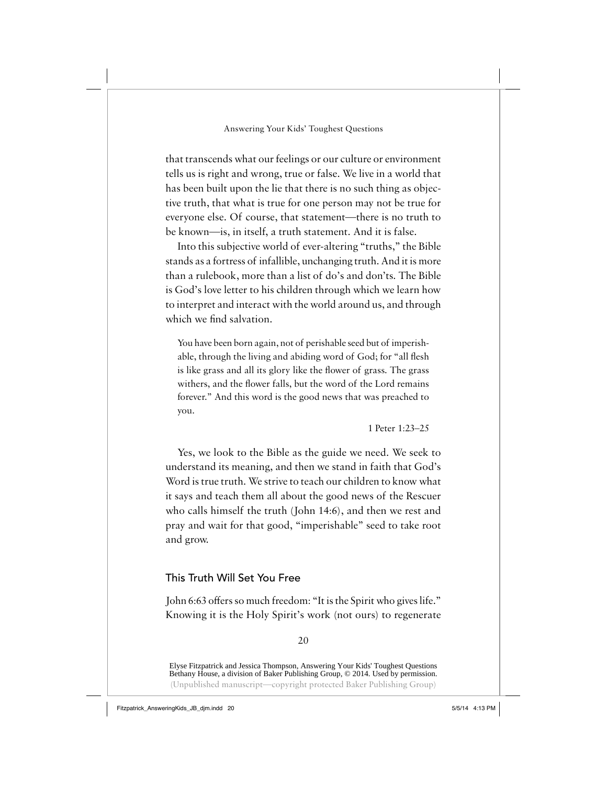that transcends what our feelings or our culture or environment tells us is right and wrong, true or false. We live in a world that has been built upon the lie that there is no such thing as objective truth, that what is true for one person may not be true for everyone else. Of course, that statement—there is no truth to be known—is, in itself, a truth statement. And it is false.

Into this subjective world of ever-altering "truths," the Bible stands as a fortress of infallible, unchanging truth. And it is more than a rulebook, more than a list of do's and don'ts. The Bible is God's love letter to his children through which we learn how to interpret and interact with the world around us, and through which we find salvation.

You have been born again, not of perishable seed but of imperishable, through the living and abiding word of God; for "all flesh is like grass and all its glory like the flower of grass. The grass withers, and the flower falls, but the word of the Lord remains forever." And this word is the good news that was preached to you.

1 Peter 1:23–25

Yes, we look to the Bible as the guide we need. We seek to understand its meaning, and then we stand in faith that God's Word is true truth. We strive to teach our children to know what it says and teach them all about the good news of the Rescuer who calls himself the truth (John 14:6), and then we rest and pray and wait for that good, "imperishable" seed to take root and grow.

## This Truth Will Set You Free

John 6:63 offers so much freedom: "It is the Spirit who gives life." Knowing it is the Holy Spirit's work (not ours) to regenerate

#### 20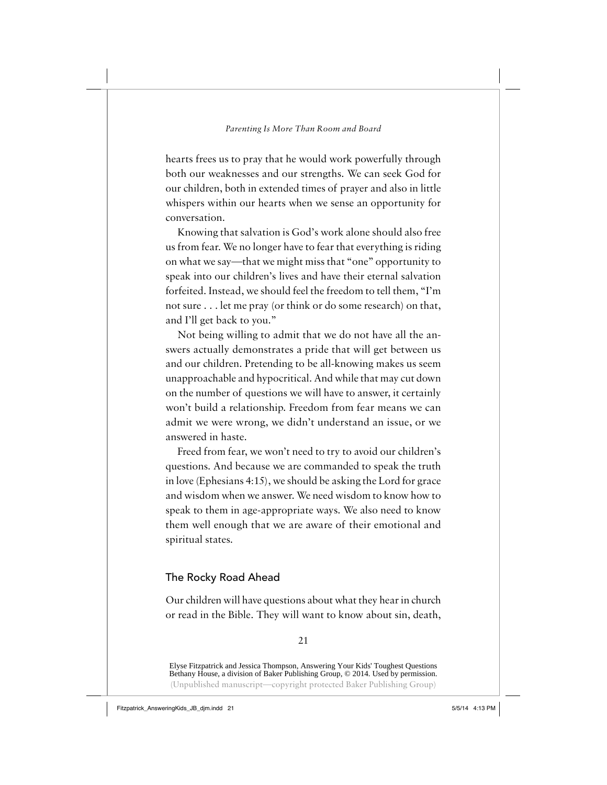hearts frees us to pray that he would work powerfully through both our weaknesses and our strengths. We can seek God for our children, both in extended times of prayer and also in little whispers within our hearts when we sense an opportunity for conversation.

Knowing that salvation is God's work alone should also free us from fear. We no longer have to fear that everything is riding on what we say—that we might miss that "one" opportunity to speak into our children's lives and have their eternal salvation forfeited. Instead, we should feel the freedom to tell them, "I'm not sure . . . let me pray (or think or do some research) on that, and I'll get back to you."

Not being willing to admit that we do not have all the answers actually demonstrates a pride that will get between us and our children. Pretending to be all-knowing makes us seem unapproachable and hypocritical. And while that may cut down on the number of questions we will have to answer, it certainly won't build a relationship. Freedom from fear means we can admit we were wrong, we didn't understand an issue, or we answered in haste.

Freed from fear, we won't need to try to avoid our children's questions. And because we are commanded to speak the truth in love (Ephesians 4:15), we should be asking the Lord for grace and wisdom when we answer. We need wisdom to know how to speak to them in age-appropriate ways. We also need to know them well enough that we are aware of their emotional and spiritual states.

## The Rocky Road Ahead

Our children will have questions about what they hear in church or read in the Bible. They will want to know about sin, death,

## 21